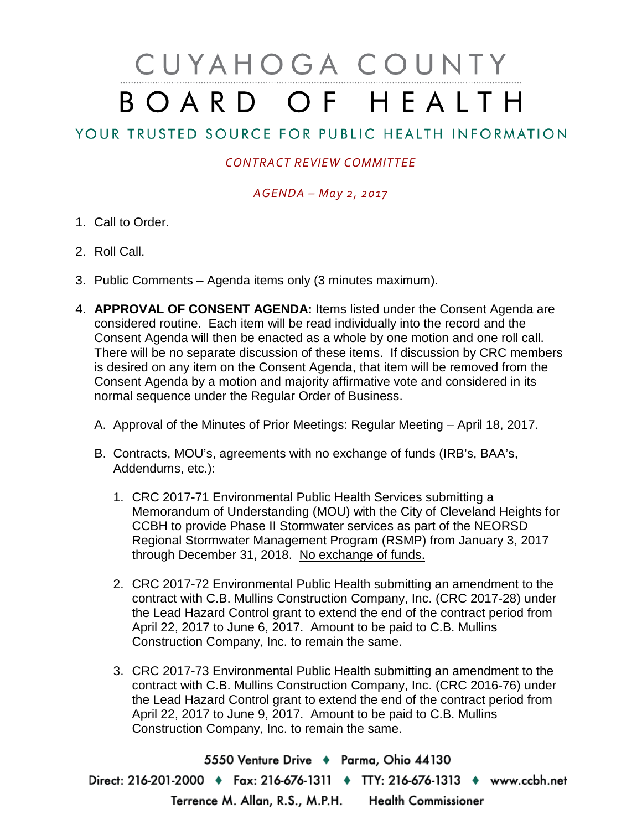# CUYAHOGA COUNTY BOARD OF HEALTH

## YOUR TRUSTED SOURCE FOR PUBLIC HEALTH INFORMATION

### *CONTRACT REVIEW COMMITTEE*

#### *AGENDA – May 2, 2017*

- 1. Call to Order.
- 2. Roll Call.
- 3. Public Comments Agenda items only (3 minutes maximum).
- 4. **APPROVAL OF CONSENT AGENDA:** Items listed under the Consent Agenda are considered routine. Each item will be read individually into the record and the Consent Agenda will then be enacted as a whole by one motion and one roll call. There will be no separate discussion of these items. If discussion by CRC members is desired on any item on the Consent Agenda, that item will be removed from the Consent Agenda by a motion and majority affirmative vote and considered in its normal sequence under the Regular Order of Business.
	- A. Approval of the Minutes of Prior Meetings: Regular Meeting April 18, 2017.
	- B. Contracts, MOU's, agreements with no exchange of funds (IRB's, BAA's, Addendums, etc.):
		- 1. CRC 2017-71 Environmental Public Health Services submitting a Memorandum of Understanding (MOU) with the City of Cleveland Heights for CCBH to provide Phase II Stormwater services as part of the NEORSD Regional Stormwater Management Program (RSMP) from January 3, 2017 through December 31, 2018. No exchange of funds.
		- 2. CRC 2017-72 Environmental Public Health submitting an amendment to the contract with C.B. Mullins Construction Company, Inc. (CRC 2017-28) under the Lead Hazard Control grant to extend the end of the contract period from April 22, 2017 to June 6, 2017. Amount to be paid to C.B. Mullins Construction Company, Inc. to remain the same.
		- 3. CRC 2017-73 Environmental Public Health submitting an amendment to the contract with C.B. Mullins Construction Company, Inc. (CRC 2016-76) under the Lead Hazard Control grant to extend the end of the contract period from April 22, 2017 to June 9, 2017. Amount to be paid to C.B. Mullins Construction Company, Inc. to remain the same.

5550 Venture Drive + Parma, Ohio 44130 Direct: 216-201-2000 • Fax: 216-676-1311 • TTY: 216-676-1313 • www.ccbh.net Terrence M. Allan, R.S., M.P.H. Health Commissioner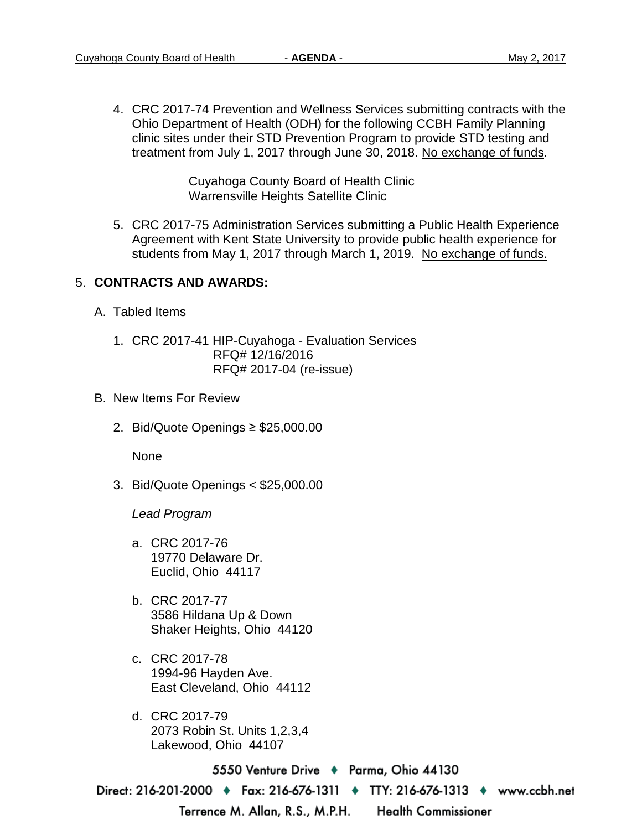4. CRC 2017-74 Prevention and Wellness Services submitting contracts with the Ohio Department of Health (ODH) for the following CCBH Family Planning clinic sites under their STD Prevention Program to provide STD testing and treatment from July 1, 2017 through June 30, 2018. No exchange of funds.

> Cuyahoga County Board of Health Clinic Warrensville Heights Satellite Clinic

5. CRC 2017-75 Administration Services submitting a Public Health Experience Agreement with Kent State University to provide public health experience for students from May 1, 2017 through March 1, 2019. No exchange of funds.

#### 5. **CONTRACTS AND AWARDS:**

- A. Tabled Items
	- 1. CRC 2017-41 HIP-Cuyahoga Evaluation Services RFQ# 12/16/2016 RFQ# 2017-04 (re-issue)
- B. New Items For Review
	- 2. Bid/Quote Openings ≥ \$25,000.00

None

3. Bid/Quote Openings < \$25,000.00

*Lead Program*

- a. CRC 2017-76 19770 Delaware Dr. Euclid, Ohio 44117
- b. CRC 2017-77 3586 Hildana Up & Down Shaker Heights, Ohio 44120
- c. CRC 2017-78 1994-96 Hayden Ave. East Cleveland, Ohio 44112
- d. CRC 2017-79 2073 Robin St. Units 1,2,3,4 Lakewood, Ohio 44107

5550 Venture Drive + Parma, Ohio 44130 Direct: 216-201-2000 → Fax: 216-676-1311 → TTY: 216-676-1313 → www.ccbh.net Terrence M. Allan, R.S., M.P.H. **Health Commissioner**